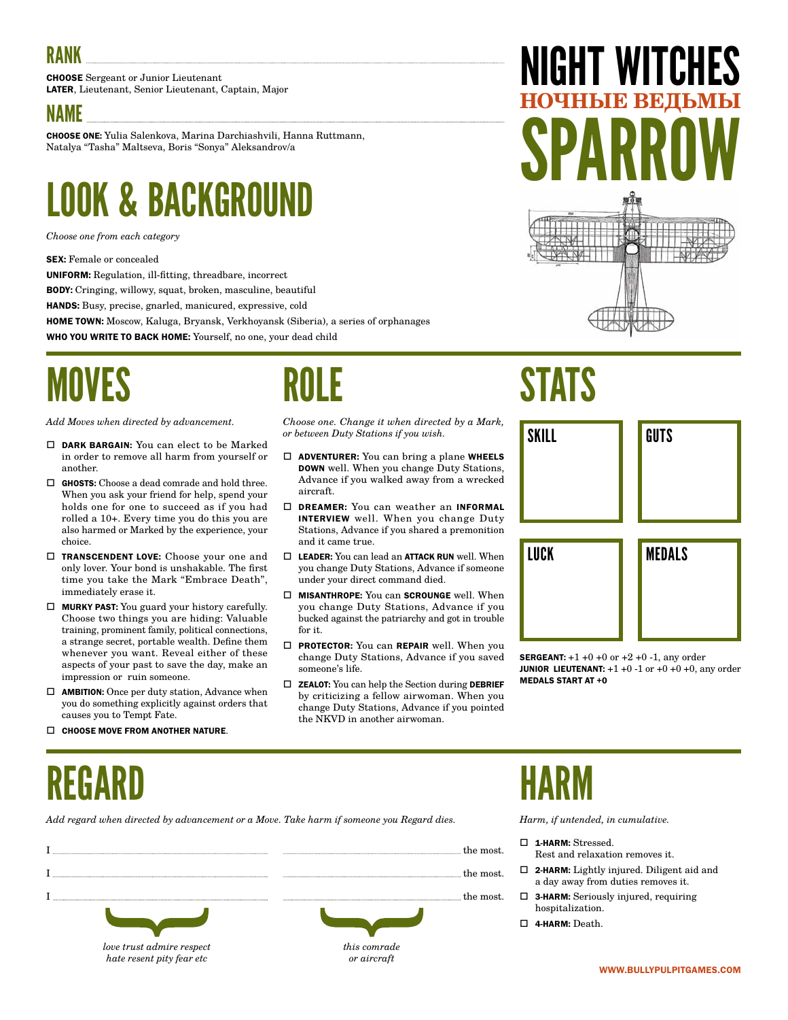CHOOSE Sergeant or Junior Lieutenant LATER, Lieutenant, Senior Lieutenant, Captain, Major

#### NAME

CHOOSE ONE: Yulia Salenkova, Marina Darchiashvili, Hanna Ruttmann, Natalya "Tasha" Maltseva, Boris "Sonya" Aleksandrov/a

### LOOK & BACKGROUND

*Choose one from each category*

SEX: Female or concealed

UNIFORM: Regulation, ill-fitting, threadbare, incorrect

BODY: Cringing, willowy, squat, broken, masculine, beautiful

HANDS: Busy, precise, gnarled, manicured, expressive, cold

HOME TOWN: Moscow, Kaluga, Bryansk, Verkhoyansk (Siberia), a series of orphanages

WHO YOU WRITE TO BACK HOME: Yourself, no one, your dead child

### MOVES

*Add Moves when directed by advancement.*

- DARK BARGAIN: You can elect to be Marked in order to remove all harm from yourself or another.
- GHOSTS: Choose a dead comrade and hold three. When you ask your friend for help, spend your holds one for one to succeed as if you had rolled a 10+. Every time you do this you are also harmed or Marked by the experience, your choice.
- □ TRANSCENDENT LOVE: Choose your one and only lover. Your bond is unshakable. The first time you take the Mark "Embrace Death", immediately erase it.
- $\Box$  MURKY PAST: You guard your history carefully. Choose two things you are hiding: Valuable training, prominent family, political connections, a strange secret, portable wealth. Define them whenever you want. Reveal either of these aspects of your past to save the day, make an impression or ruin someone.
- $\Box$  **AMBITION:** Once per duty station, Advance when you do something explicitly against orders that causes you to Tempt Fate.

*hate resent pity fear etc*

 $\Box$  CHOOSE MOVE FROM ANOTHER NATURE.

### ROLE

*Choose one. Change it when directed by a Mark, or between Duty Stations if you wish.*

- $\Box$  **ADVENTURER:** You can bring a plane WHEELS DOWN well. When you change Duty Stations, Advance if you walked away from a wrecked aircraft.
- DREAMER: You can weather an INFORMAL INTERVIEW well. When you change Duty Stations, Advance if you shared a premonition and it came true.
- $\Box$  LEADER: You can lead an ATTACK RUN well. When you change Duty Stations, Advance if someone under your direct command died.
- $\square$  MISANTHROPE: You can SCROUNGE well. When you change Duty Stations, Advance if you bucked against the patriarchy and got in trouble for it.
- □ PROTECTOR: You can REPAIR well. When you change Duty Stations, Advance if you saved someone's life.
- $\Box$  **ZEALOT:** You can help the Section during **DEBRIEF** by criticizing a fellow airwoman. When you change Duty Stations, Advance if you pointed the NKVD in another airwoman.

*or aircraft*

# GHT WI **НОЧНЫЕ ВЕДЬМЫ** SPARROW

### STATS



**SERGEANT:**  $+1 +0 +0$  or  $+2 +0 -1$ , any order **JUNIOR LIEUTENANT:**  $+1 +0 -1$  or  $+0 +0 +0$ , any order MEDALS START AT +0

### REGARD

*Add regard when directed by advancement or a Move. Take harm if someone you Regard dies.*

|                           | the most.    |
|---------------------------|--------------|
|                           | the most.    |
|                           | the most.    |
|                           |              |
| love trust admire respect | this comrade |

### HARM

- □ 1-HARM: Stressed.
	- Rest and relaxation removes it.
- 2-HARM: Lightly injured. Diligent aid and a day away from duties removes it.
- 3-HARM: Seriously injured, requiring hospitalization.
- 4-HARM: Death.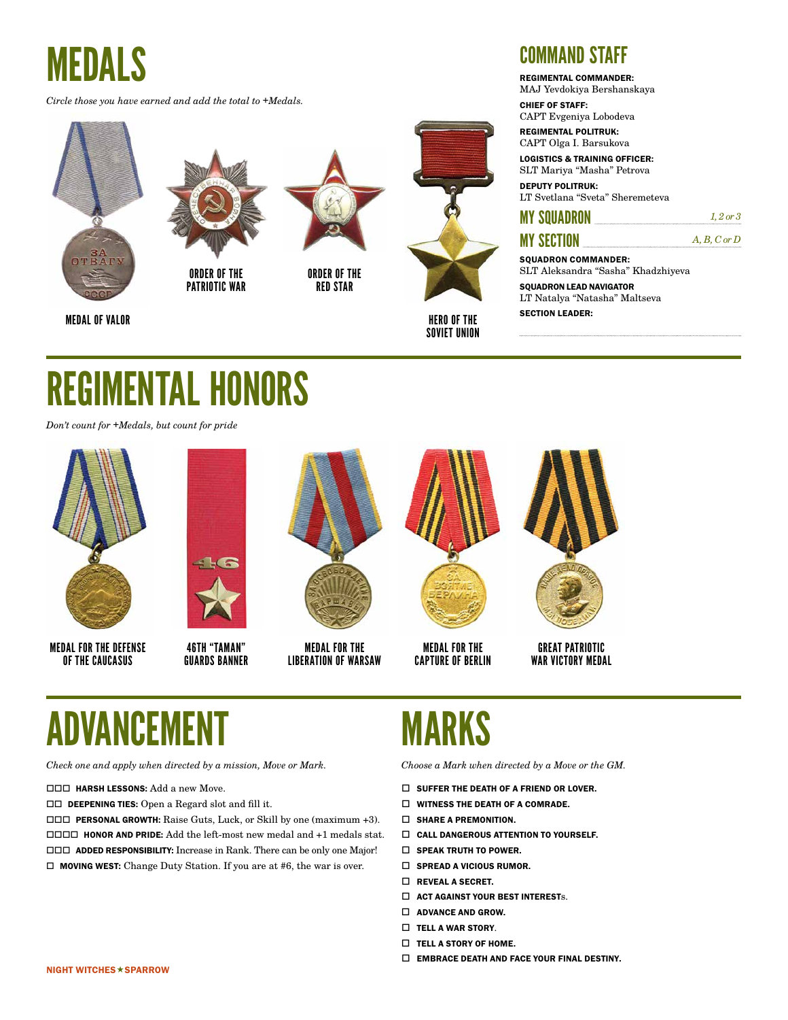*Circle those you have earned and add the total to +Medals.*





ORDER OF THE PATRIOTIC WAR

SECTION LEADER: MEDAL OF VALOR

ORDER OF THE RED STAR



HERO OF THE SOVIET UNION

#### COMMAND STAFF

REGIMENTAL COMMANDER:

MAJ Yevdokiya Bershanskaya CHIEF OF STAFF:

CAPT Evgeniya Lobodeva

REGIMENTAL POLITRUK: CAPT Olga I. Barsukova

LOGISTICS & TRAINING OFFICER: SLT Mariya "Masha" Petrova

DEPUTY POLITRUK: LT Svetlana "Sveta" Sheremeteva

#### **MY SQUADRON** *1, 2 or 3*

#### MY SECTION *A, B, C or D*

SOUADRON COMMANDER: SLT Aleksandra "Sasha" Khadzhiyeva

SQUADRON LEAD NAVIGATOR LT Natalya "Natasha" Maltseva

### REGIMENTAL HONORS

*Don't count for +Medals, but count for pride*



MEDAL FOR THE DEFENSE OF THE CAUCASUS

 $\sqrt{2}$ 

46TH "TAMAN" GUARDS BANNER



MEDAL FOR THE LIBERATION OF WARSAW



MEDAL FOR THE CAPTURE OF BERLIN



GREAT PATRIOTIC WAR VICTORY MEDAL

### ADVANCEI

*Check one and apply when directed by a mission, Move or Mark.*

#### **HARSH LESSONS:** Add a new Move.

DEEPENING TIES: Open a Regard slot and fill it.

 PERSONAL GROWTH: Raise Guts, Luck, or Skill by one (maximum +3). HONOR AND PRIDE: Add the left-most new medal and +1 medals stat. ADDED RESPONSIBILITY: Increase in Rank. There can be only one Major!  $\Box$  MOVING WEST: Change Duty Station. If you are at #6, the war is over.

### MARKS

- $\square$  SUFFER THE DEATH OF A FRIEND OR LOVER.
- $\Box$  WITNESS THE DEATH OF A COMRADE.
- $\square$  SHARE A PREMONITION.
- CALL DANGEROUS ATTENTION TO YOURSELF.
- $\square$  SPEAK TRUTH TO POWER.
- $\Box$  SPREAD A VICIOUS RUMOR.
- **D** REVEAL A SECRET.
- $\square$  ACT AGAINST YOUR BEST INTERESTs.
- $\Box$  ADVANCE AND GROW.
- $\Box$  TELL A WAR STORY.
- $\Box$  TELL A STORY OF HOME.
- $\square$  EMBRACE DEATH AND FACE YOUR FINAL DESTINY.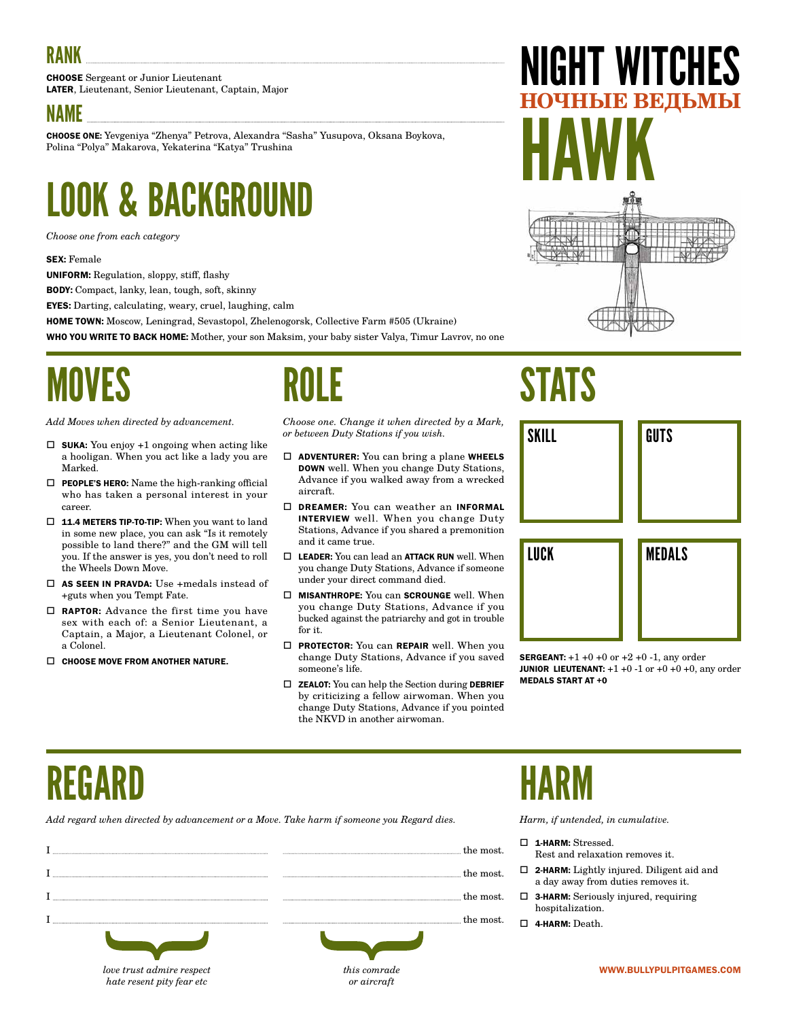CHOOSE Sergeant or Junior Lieutenant LATER, Lieutenant, Senior Lieutenant, Captain, Major

#### NAME

CHOOSE ONE: Yevgeniya "Zhenya" Petrova, Alexandra "Sasha" Yusupova, Oksana Boykova, Polina "Polya" Makarova, Yekaterina "Katya" Trushina

### LOOK & BACKGROUND

*Choose one from each category*

#### SEX: Female

UNIFORM: Regulation, sloppy, stiff, flashy

BODY: Compact, lanky, lean, tough, soft, skinny

EYES: Darting, calculating, weary, cruel, laughing, calm

HOME TOWN: Moscow, Leningrad, Sevastopol, Zhelenogorsk, Collective Farm #505 (Ukraine)

WHO YOU WRITE TO BACK HOME: Mother, your son Maksim, your baby sister Valya, Timur Lavrov, no one

### MOVES

*Add Moves when directed by advancement.*

- $\square$  SUKA: You enjoy +1 ongoing when acting like a hooligan. When you act like a lady you are Marked.
- $\Box$  PEOPLE'S HERO: Name the high-ranking official who has taken a personal interest in your career.
- □ 11.4 METERS TIP-TO-TIP: When you want to land in some new place, you can ask "Is it remotely possible to land there?" and the GM will tell you. If the answer is yes, you don't need to roll the Wheels Down Move.
- $\square$  AS SEEN IN PRAVDA: Use +medals instead of +guts when you Tempt Fate.
- RAPTOR: Advance the first time you have sex with each of: a Senior Lieutenant, a Captain, a Major, a Lieutenant Colonel, or a Colonel.

*hate resent pity fear etc*

 $\Box$  CHOOSE MOVE FROM ANOTHER NATURE.

### ROLE

*Choose one. Change it when directed by a Mark, or between Duty Stations if you wish.*

- $\Box$  **ADVENTURER:** You can bring a plane WHEELS DOWN well. When you change Duty Stations, Advance if you walked away from a wrecked aircraft.
- DREAMER: You can weather an INFORMAL INTERVIEW well. When you change Duty Stations, Advance if you shared a premonition and it came true.
- $\square$  LEADER: You can lead an ATTACK RUN well. When you change Duty Stations, Advance if someone under your direct command died.
- $\square$  MISANTHROPE: You can SCROUNGE well. When you change Duty Stations, Advance if you bucked against the patriarchy and got in trouble for it.
- **D** PROTECTOR: You can REPAIR well. When you change Duty Stations, Advance if you saved someone's life.
- $\Box$  **ZEALOT:** You can help the Section during **DEBRIEF** by criticizing a fellow airwoman. When you change Duty Stations, Advance if you pointed the NKVD in another airwoman.

*or aircraft*

## NIGHT WITCHES **НЕДЫМЫ** HAWK

**STATS** SKILL LUCK GUTS MEDALS

**SERGEANT:**  $+1 +0 +0$  or  $+2 +0 -1$ , any order **JUNIOR LIEUTENANT:**  $+1 +0 -1$  or  $+0 +0 +0$ , any order MEDALS START AT +0

### REGARD

*Add regard when directed by advancement or a Move. Take harm if someone you Regard dies.*

|                           | the most.                                                                                                                                                                                                                                                                                                                                                                                                                                                                         |
|---------------------------|-----------------------------------------------------------------------------------------------------------------------------------------------------------------------------------------------------------------------------------------------------------------------------------------------------------------------------------------------------------------------------------------------------------------------------------------------------------------------------------|
|                           | the most.<br>$\begin{minipage}{10cm} \begin{minipage}{0.9cm} \begin{minipage}{0.9cm} \begin{minipage}{0.9cm} \begin{minipage}{0.9cm} \begin{minipage}{0.9cm} \begin{minipage}{0.9cm} \end{minipage} \end{minipage} \end{minipage} \end{minipage} \begin{minipage}{0.9cm} \begin{minipage}{0.9cm} \begin{minipage}{0.9cm} \begin{minipage}{0.9cm} \begin{minipage}{0.9cm} \begin{minipage}{0.9cm} \end{minipage} \end{minipage} \end{minipage} \end{minipage} \begin{minipage}{0.$ |
|                           | the most.                                                                                                                                                                                                                                                                                                                                                                                                                                                                         |
|                           | the most.                                                                                                                                                                                                                                                                                                                                                                                                                                                                         |
|                           |                                                                                                                                                                                                                                                                                                                                                                                                                                                                                   |
| love trust admire respect | this comra                                                                                                                                                                                                                                                                                                                                                                                                                                                                        |

### HARM

- 1-HARM: Stressed.
	- Rest and relaxation removes it.
- 2-HARM: Lightly injured. Diligent aid and a day away from duties removes it.
- 3-HARM: Seriously injured, requiring hospitalization.
- 4-HARM: Death.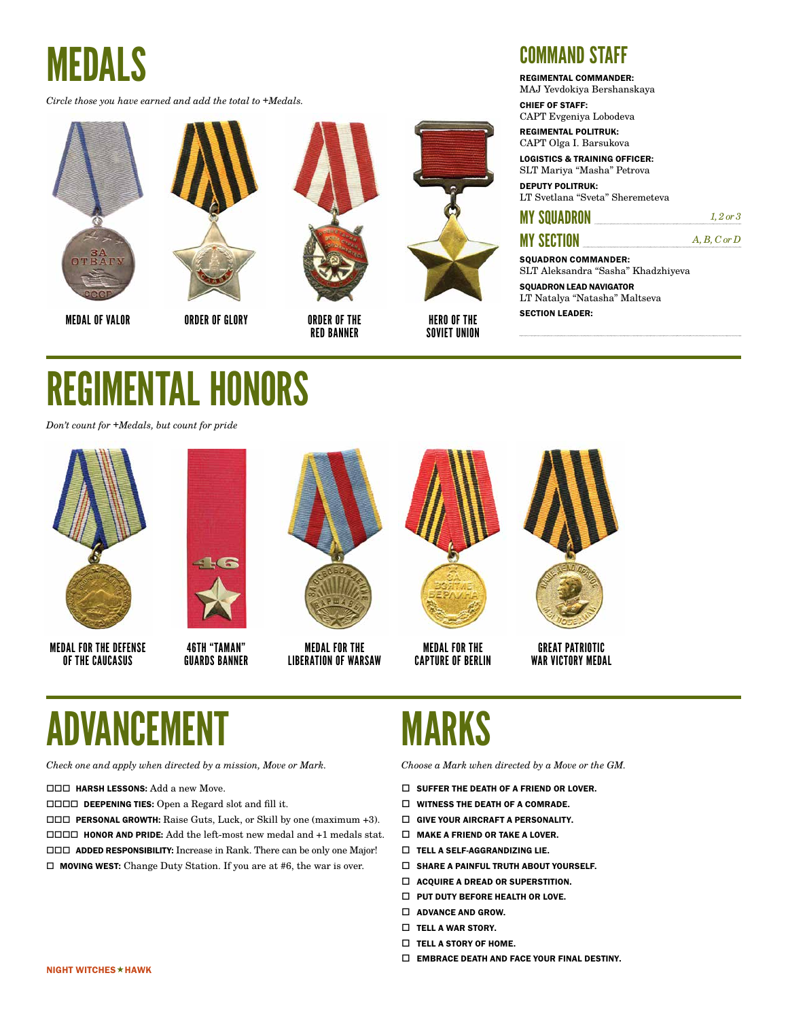*Circle those you have earned and add the total to +Medals.*







ORDER OF GLORY





HERO OF THE SOVIET UNION

#### COMMAND STAFF

REGIMENTAL COMMANDER:

MAJ Yevdokiya Bershanskaya CHIEF OF STAFF:

CAPT Evgeniya Lobodeva

REGIMENTAL POLITRUK: CAPT Olga I. Barsukova

LOGISTICS & TRAINING OFFICER: SLT Mariya "Masha" Petrova

DEPUTY POLITRUK: LT Svetlana "Sveta" Sheremeteva

#### **MY SQUADRON** *1, 2 or 3*

#### MY SECTION *A, B, C or D*

SOUADRON COMMANDER: SLT Aleksandra "Sasha" Khadzhiyeva

SQUADRON LEAD NAVIGATOR LT Natalya "Natasha" Maltseva

### REGIMENTAL HONORS

*Don't count for +Medals, but count for pride*



MEDAL FOR THE DEFENSE OF THE CAUCASUS

**KG** 

46TH "TAMAN" GUARDS BANNER



MEDAL FOR THE LIBERATION OF WARSAW



MEDAL FOR THE CAPTURE OF BERLIN



GREAT PATRIOTIC WAR VICTORY MEDAL

### ADVANCEI

*Check one and apply when directed by a mission, Move or Mark.*

**HARSH LESSONS:** Add a new Move.

DEEPENING TIES: Open a Regard slot and fill it.

 PERSONAL GROWTH: Raise Guts, Luck, or Skill by one (maximum +3). HONOR AND PRIDE: Add the left-most new medal and +1 medals stat. ADDED RESPONSIBILITY: Increase in Rank. There can be only one Major!  $\Box$  MOVING WEST: Change Duty Station. If you are at #6, the war is over.

### MARKS

- $\square$  SUFFER THE DEATH OF A FRIEND OR LOVER.
- $\Box$  WITNESS THE DEATH OF A COMRADE.
- $\square$  GIVE YOUR AIRCRAFT A PERSONALITY.
- $\Box$  MAKE A FRIEND OR TAKE A LOVER.
- TELL A SELF-AGGRANDIZING LIE.
- $\square$  SHARE A PAINFUL TRUTH ABOUT YOURSELF.
- $\Box$  ACOUIRE A DREAD OR SUPERSTITION.
- $\Box$  PUT DUTY BEFORE HEALTH OR LOVE.
- $\Box$  ADVANCE AND GROW.
- $\Box$  TELL A WAR STORY.
- $\Box$  TELL A STORY OF HOME.
- $\square$  EMBRACE DEATH AND FACE YOUR FINAL DESTINY.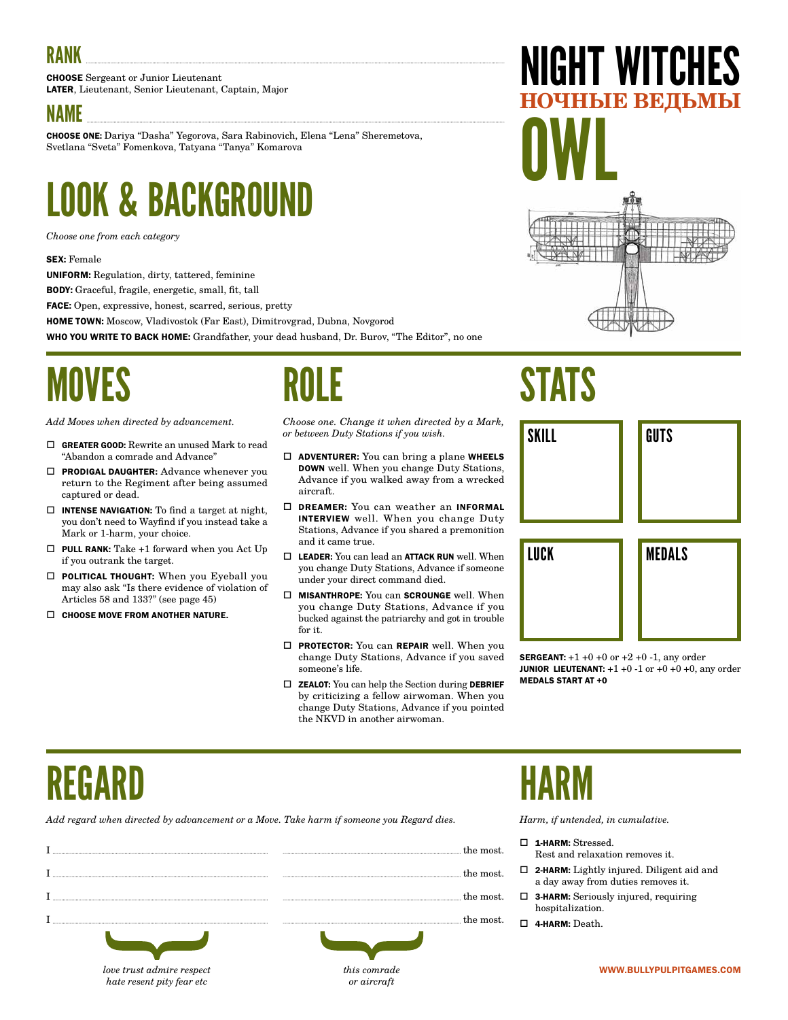CHOOSE Sergeant or Junior Lieutenant LATER, Lieutenant, Senior Lieutenant, Captain, Major

#### NAME

CHOOSE ONE: Dariya "Dasha" Yegorova, Sara Rabinovich, Elena "Lena" Sheremetova, Svetlana "Sveta" Fomenkova, Tatyana "Tanya" Komarova

### LOOK & BACKGROUND

*Choose one from each category*

#### SEX: Female

UNIFORM: Regulation, dirty, tattered, feminine

BODY: Graceful, fragile, energetic, small, fit, tall

FACE: Open, expressive, honest, scarred, serious, pretty

HOME TOWN: Moscow, Vladivostok (Far East), Dimitrovgrad, Dubna, Novgorod

WHO YOU WRITE TO BACK HOME: Grandfather, your dead husband, Dr. Burov, "The Editor", no one

### MOVES

*Add Moves when directed by advancement.*

- GREATER GOOD: Rewrite an unused Mark to read "Abandon a comrade and Advance"
- □ PRODIGAL DAUGHTER: Advance whenever you return to the Regiment after being assumed captured or dead.
- $\Box$  INTENSE NAVIGATION: To find a target at night, you don't need to Wayfind if you instead take a Mark or 1-harm, your choice.
- $\Box$  PULL RANK: Take +1 forward when you Act Up if you outrank the target.
- POLITICAL THOUGHT: When you Eyeball you may also ask "Is there evidence of violation of Articles 58 and 133?" (see page 45)

*love trust admire respect hate resent pity fear etc*

 $\Box$  CHOOSE MOVE FROM ANOTHER NATURE.

### ROLE

*Choose one. Change it when directed by a Mark, or between Duty Stations if you wish.*

- $\Box$  ADVENTURER: You can bring a plane WHEELS DOWN well. When you change Duty Stations, Advance if you walked away from a wrecked aircraft.
- DREAMER: You can weather an INFORMAL INTERVIEW well. When you change Duty Stations, Advance if you shared a premonition and it came true.
- $\square$  LEADER: You can lead an ATTACK RUN well. When you change Duty Stations, Advance if someone under your direct command died.
- $\square$  MISANTHROPE: You can SCROUNGE well. When you change Duty Stations, Advance if you bucked against the patriarchy and got in trouble for it.
- **D** PROTECTOR: You can REPAIR well. When you change Duty Stations, Advance if you saved someone's life.
- $\Box$  **ZEALOT:** You can help the Section during **DEBRIEF** by criticizing a fellow airwoman. When you change Duty Stations, Advance if you pointed the NKVD in another airwoman.

*or aircraft*

### **STATS**

OWL



NIGHT WITCHES

**НОЧНЫЕ ВЕДЬМЫ**

**SERGEANT:**  $+1 +0 +0$  or  $+2 +0 -1$ , any order **JUNIOR LIEUTENANT:**  $+1 +0 -1$  or  $+0 +0 +0$ , any order MEDALS START AT +0

### REGARD

*Add regard when directed by advancement or a Move. Take harm if someone you Regard dies.*

|                           | the most.    |
|---------------------------|--------------|
|                           | the most.    |
|                           | the most.    |
|                           | the most.    |
|                           |              |
| love trust admire respect | this comrade |

### HARM

- 1-HARM: Stressed.
	- Rest and relaxation removes it.
- 2-HARM: Lightly injured. Diligent aid and a day away from duties removes it.
- 3-HARM: Seriously injured, requiring hospitalization.
- 4-HARM: Death.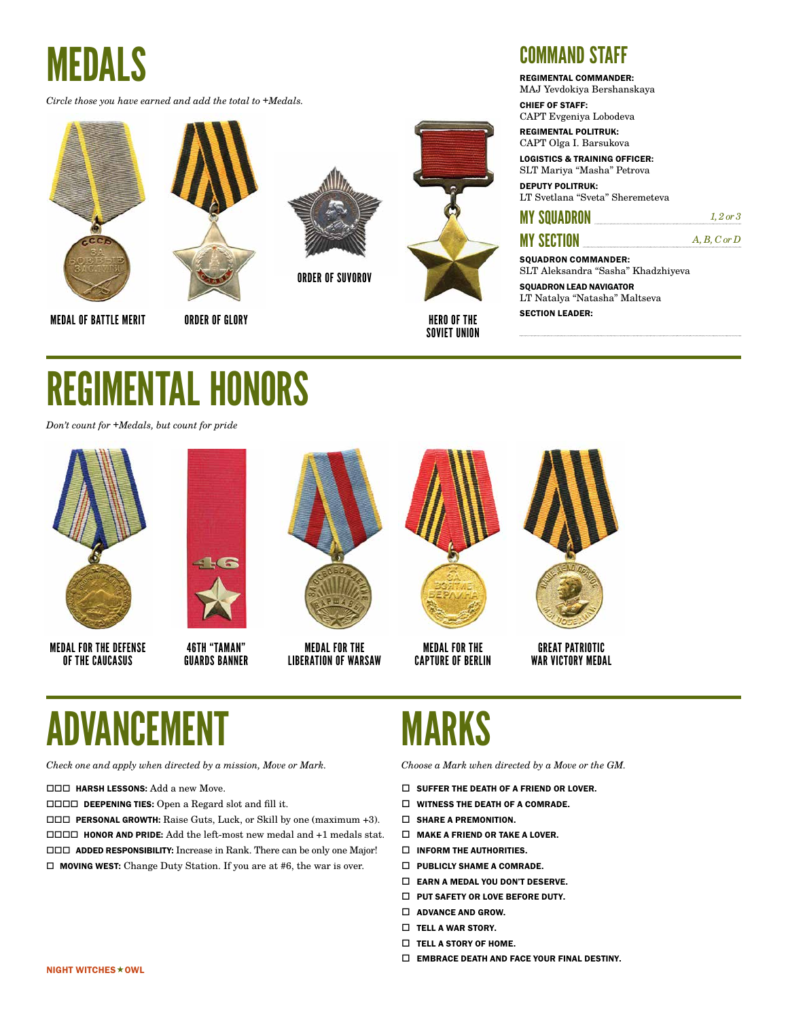*Circle those you have earned and add the total to +Medals.*





ORDER OF GLORY



ORDER OF SUVOROV



**SECTION LEADER:** MEDAL OF BATTLE MERIT AND REGION OF BATTLE MERIT AND REGION LEADER: HERO OF THE SOVIET UNION

#### COMMAND STAFF

REGIMENTAL COMMANDER:

MAJ Yevdokiya Bershanskaya CHIEF OF STAFF:

CAPT Evgeniya Lobodeva

REGIMENTAL POLITRUK: CAPT Olga I. Barsukova

LOGISTICS & TRAINING OFFICER: SLT Mariya "Masha" Petrova DEPUTY POLITRUK:

LT Svetlana "Sveta" Sheremeteva

#### **MY SQUADRON** *1, 2 or 3*

#### MY SECTION *A, B, C or D*

SOUADRON COMMANDER: SLT Aleksandra "Sasha" Khadzhiyeva

SQUADRON LEAD NAVIGATOR LT Natalya "Natasha" Maltseva

### REGIMENTAL HONORS

*Don't count for +Medals, but count for pride*



 $\sqrt{2}$ 

MEDAL FOR THE DEFENSE OF THE CAUCASUS 46TH "TAMAN" GUARDS BANNER



MEDAL FOR THE LIBERATION OF WARSAW



MEDAL FOR THE CAPTURE OF BERLIN



GREAT PATRIOTIC WAR VICTORY MEDAL

### ADVANCEM

*Check one and apply when directed by a mission, Move or Mark.*

**HARSH LESSONS:** Add a new Move.

DEEPENING TIES: Open a Regard slot and fill it.

 PERSONAL GROWTH: Raise Guts, Luck, or Skill by one (maximum +3). HONOR AND PRIDE: Add the left-most new medal and +1 medals stat. ADDED RESPONSIBILITY: Increase in Rank. There can be only one Major!  $\Box$  MOVING WEST: Change Duty Station. If you are at #6, the war is over.

### MARKS

- $\square$  SUFFER THE DEATH OF A FRIEND OR LOVER.
- $\Box$  WITNESS THE DEATH OF A COMRADE.
- $\square$  SHARE A PREMONITION.
- $\Box$  MAKE A FRIEND OR TAKE A LOVER.
- $\square$  INFORM THE AUTHORITIES.
- $\Box$  PUBLICLY SHAME A COMRADE.
- $\Box$  EARN A MEDAL YOU DON'T DESERVE.
- $\Box$  PUT SAFETY OR LOVE BEFORE DUTY.
- $\Box$  ADVANCE AND GROW.
- $\Box$  TELL A WAR STORY.
- $\Box$  TELL A STORY OF HOME.
- $\square$  EMBRACE DEATH AND FACE YOUR FINAL DESTINY.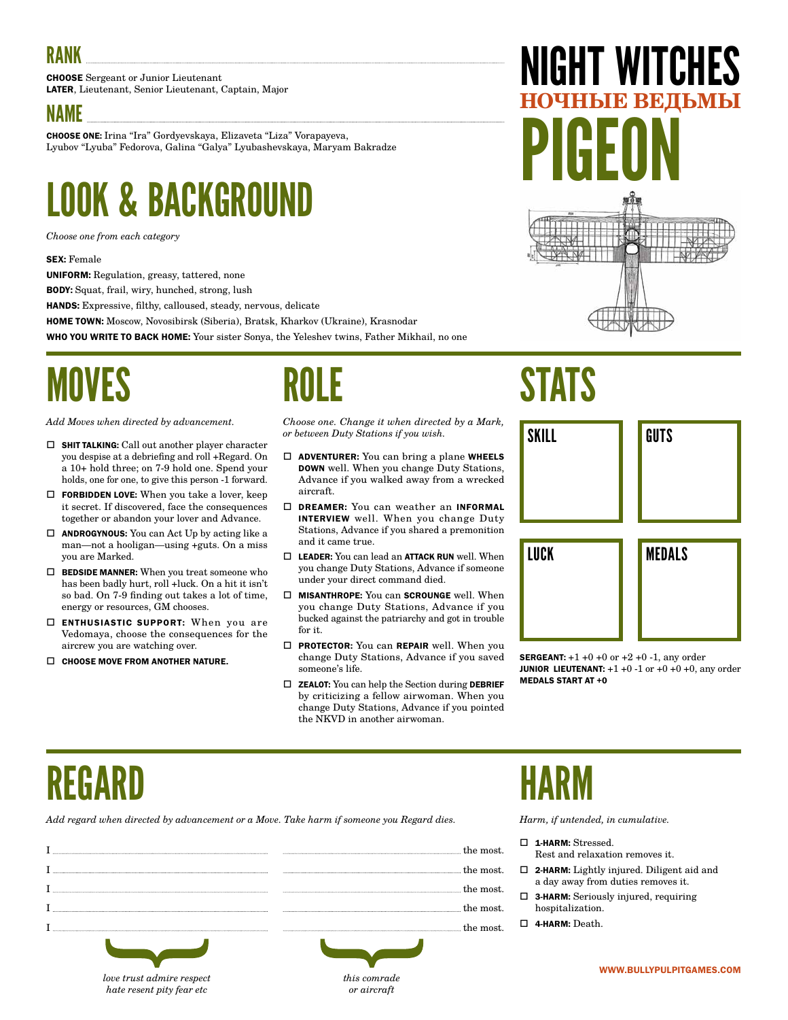CHOOSE Sergeant or Junior Lieutenant LATER, Lieutenant, Senior Lieutenant, Captain, Major

#### NAME

CHOOSE ONE: Irina "Ira" Gordyevskaya, Elizaveta "Liza" Vorapayeva, Lyubov "Lyuba" Fedorova, Galina "Galya" Lyubashevskaya, Maryam Bakradze

### LOOK & BACKGROUND

*Choose one from each category*

#### SEX: Female

UNIFORM: Regulation, greasy, tattered, none

BODY: Squat, frail, wiry, hunched, strong, lush

HANDS: Expressive, filthy, calloused, steady, nervous, delicate

HOME TOWN: Moscow, Novosibirsk (Siberia), Bratsk, Kharkov (Ukraine), Krasnodar

WHO YOU WRITE TO BACK HOME: Your sister Sonya, the Yeleshev twins, Father Mikhail, no one

### MOVES

*Add Moves when directed by advancement.*

- $\square$  SHIT TALKING: Call out another player character you despise at a debriefing and roll +Regard. On a 10+ hold three; on 7-9 hold one. Spend your holds, one for one, to give this person -1 forward.
- $\Box~$  FORBIDDEN LOVE: When you take a lover, keep it secret. If discovered, face the consequences together or abandon your lover and Advance.
- $\Box$  **ANDROGYNOUS:** You can Act Up by acting like a man—not a hooligan—using +guts. On a miss you are Marked.
- $\Box~$  BEDSIDE MANNER: When you treat someone who has been badly hurt, roll +luck. On a hit it isn't so bad. On 7-9 finding out takes a lot of time, energy or resources, GM chooses.
- □ ENTHUSIASTIC SUPPORT: When you are Vedomaya, choose the consequences for the aircrew you are watching over.

*hate resent pity fear etc*

 $\Box$  CHOOSE MOVE FROM ANOTHER NATURE.

### ROLE

*Choose one. Change it when directed by a Mark, or between Duty Stations if you wish.*

- $\Box$  ADVENTURER: You can bring a plane WHEELS DOWN well. When you change Duty Stations, Advance if you walked away from a wrecked aircraft.
- DREAMER: You can weather an INFORMAL INTERVIEW well. When you change Duty Stations, Advance if you shared a premonition and it came true.
- $\square$  LEADER: You can lead an ATTACK RUN well. When you change Duty Stations, Advance if someone under your direct command died.
- $\square$  MISANTHROPE: You can SCROUNGE well. When you change Duty Stations, Advance if you bucked against the patriarchy and got in trouble for it.
- **D** PROTECTOR: You can REPAIR well. When you change Duty Stations, Advance if you saved someone's life.
- $\Box$  **ZEALOT:** You can help the Section during **DEBRIEF** by criticizing a fellow airwoman. When you change Duty Stations, Advance if you pointed the NKVD in another airwoman.

*or aircraft*

# IGHT WITCHES **НОЧНЫЕ ВЕДЬМЫ** PIGEON

### **STATS**



**SERGEANT:**  $+1 +0 +0$  or  $+2 +0 -1$ , any order **JUNIOR LIEUTENANT:**  $+1 +0 -1$  or  $+0 +0 +0$ , any order MEDALS START AT +0

### REGARD

*Add regard when directed by advancement or a Move. Take harm if someone you Regard dies.*

|                           | re most      |
|---------------------------|--------------|
|                           | most.        |
|                           | the most     |
|                           | the most.    |
|                           | the most.    |
|                           |              |
| love trust admire respect | this comrade |

### HARM

- 1-HARM: Stressed.
- Rest and relaxation removes it.
- 2-HARM: Lightly injured. Diligent aid and a day away from duties removes it.
- 3-HARM: Seriously injured, requiring hospitalization.
- 4-HARM: Death.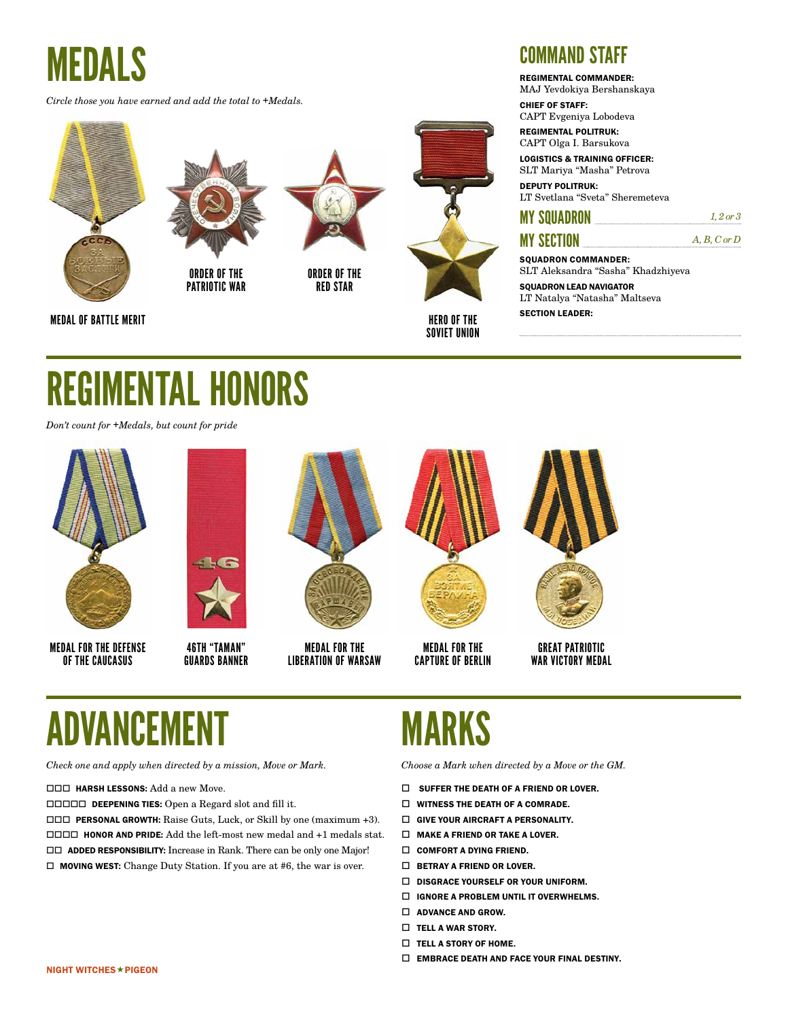*Circle those you have earned and add the total to +Medals.*







ORDER OF THE RED STAR



HERO OF THE SOVIET UNION

#### COMMAND STAFF

REGIMENTAL COMMANDER:

MAJ Yevdokiya Bershanskaya CHIEF OF STAFF:

CAPT Evgeniya Lobodeva

REGIMENTAL POLITRUK: CAPT Olga I. Barsukova

LOGISTICS & TRAINING OFFICER: SLT Mariya "Masha" Petrova

DEPUTY POLITRUK: LT Svetlana "Sveta" Sheremeteva

#### **MY SQUADRON** *1, 2 or 3*

#### MY SECTION *A, B, C or D*

SOUADRON COMMANDER: SLT Aleksandra "Sasha" Khadzhiyeva

SQUADRON LEAD NAVIGATOR LT Natalya "Natasha" Maltseva

### REGIMENTAL HONORS

*Don't count for +Medals, but count for pride*



MEDAL FOR THE DEFENSE OF THE CAUCASUS

 $\sqrt{2}$ 

46TH "TAMAN" GUARDS BANNER



MEDAL FOR THE LIBERATION OF WARSAW



MEDAL FOR THE CAPTURE OF BERLIN



GREAT PATRIOTIC WAR VICTORY MEDAL

### ADVANCEI

*Check one and apply when directed by a mission, Move or Mark.*

**HARSH LESSONS:** Add a new Move.

DEEPENING TIES: Open a Regard slot and fill it.

 PERSONAL GROWTH: Raise Guts, Luck, or Skill by one (maximum +3). HONOR AND PRIDE: Add the left-most new medal and +1 medals stat. ADDED RESPONSIBILITY: Increase in Rank. There can be only one Major!  $\Box$  MOVING WEST: Change Duty Station. If you are at #6, the war is over.

### MARKS

- $\square$  SUFFER THE DEATH OF A FRIEND OR LOVER.
- $\Box$  WITNESS THE DEATH OF A COMRADE.
- $\square$  GIVE YOUR AIRCRAFT A PERSONALITY.
- $\Box$  MAKE A FRIEND OR TAKE A LOVER.
- $\square$  COMFORT A DYING FRIEND.
- $\square$  BETRAY A FRIEND OR LOVER.
- $\Box$  DISGRACE YOURSELF OR YOUR UNIFORM.
- IGNORE A PROBLEM UNTIL IT OVERWHELMS.
- $\Box$  ADVANCE AND GROW.
- $\Box$  TELL A WAR STORY.
- $\Box$  TELL A STORY OF HOME.
- $\square$  EMBRACE DEATH AND FACE YOUR FINAL DESTINY.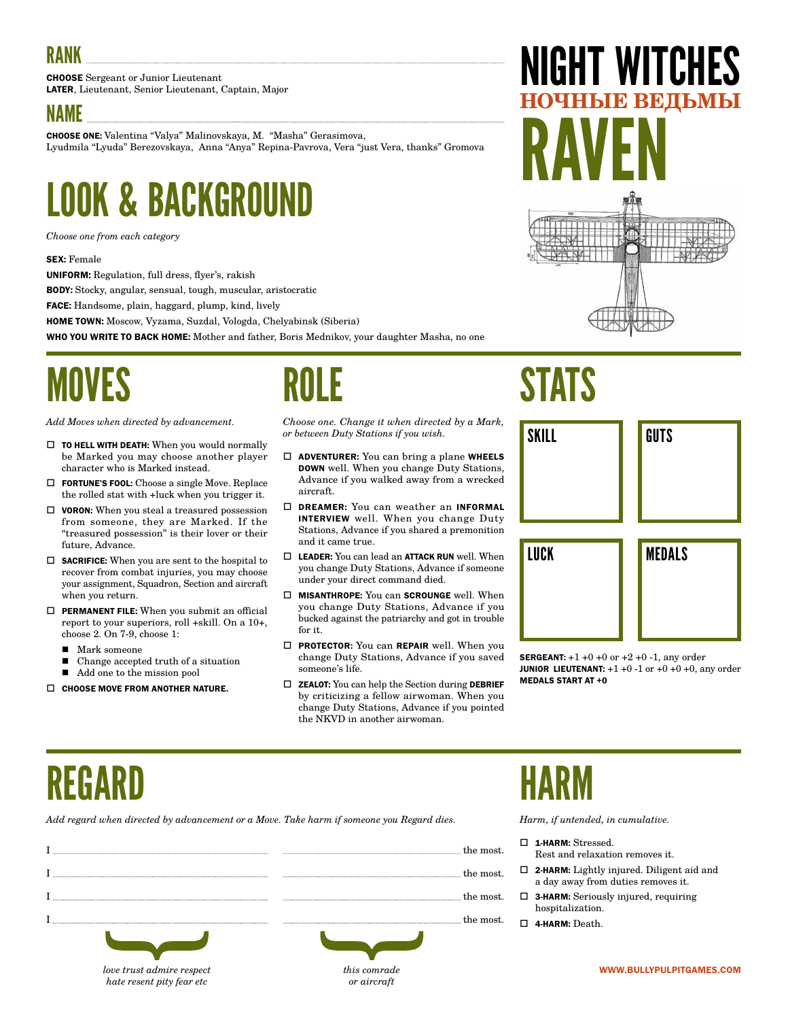CHOOSE Sergeant or Junior Lieutenant LATER, Lieutenant, Senior Lieutenant, Captain, Major

#### NAME

CHOOSE ONE: Valentina "Valya" Malinovskaya, M. "Masha" Gerasimova, Lyudmila "Lyuda" Berezovskaya, Anna "Anya" Repina-Pavrova, Vera "just Vera, thanks" Gromova

### LOOK & BACKGROUND

*Choose one from each category*

#### SEX: Female

UNIFORM: Regulation, full dress, flyer's, rakish

BODY: Stocky, angular, sensual, tough, muscular, aristocratic

FACE: Handsome, plain, haggard, plump, kind, lively

HOME TOWN: Moscow, Vyzama, Suzdal, Vologda, Chelyabinsk (Siberia)

WHO YOU WRITE TO BACK HOME: Mother and father, Boris Mednikov, your daughter Masha, no one

### MOVES

*Add Moves when directed by advancement.*

- $\square$  TO HELL WITH DEATH: When you would normally be Marked you may choose another player character who is Marked instead.
- FORTUNE'S FOOL: Choose a single Move. Replace the rolled stat with +luck when you trigger it.
- $\Box$  **VORON:** When you steal a treasured possession from someone, they are Marked. If the "treasured possession" is their lover or their future, Advance.
- $\Box$  **SACRIFICE:** When you are sent to the hospital to recover from combat injuries, you may choose your assignment, Squadron, Section and aircraft when you return.
- $\Box$  PERMANENT FILE: When you submit an official report to your superiors, roll +skill. On a 10+, choose 2. On 7-9, choose 1:
	- Mark someone
	- Change accepted truth of a situation

*love trust admire respect hate resent pity fear etc*

- $\blacksquare$  Add one to the mission pool
- $\Box$  CHOOSE MOVE FROM ANOTHER NATURE.

### ROLE

*Choose one. Change it when directed by a Mark, or between Duty Stations if you wish.*

- $\Box$  **ADVENTURER:** You can bring a plane WHEELS DOWN well. When you change Duty Stations, Advance if you walked away from a wrecked aircraft.
- DREAMER: You can weather an INFORMAL INTERVIEW well. When you change Duty Stations, Advance if you shared a premonition and it came true.
- $\Box$  LEADER: You can lead an ATTACK RUN well. When you change Duty Stations, Advance if someone under your direct command died.
- $\square$  MISANTHROPE: You can SCROUNGE well. When you change Duty Stations, Advance if you bucked against the patriarchy and got in trouble for it.
- **D** PROTECTOR: You can REPAIR well. When you change Duty Stations, Advance if you saved someone's life.
- $\Box$  **ZEALOT:** You can help the Section during **DEBRIEF** by criticizing a fellow airwoman. When you change Duty Stations, Advance if you pointed the NKVD in another airwoman.

*or aircraft*

# RAVEN

IGHT WITCHES

**НОЧНЫЕ ВЕДЬМЫ**

### SKILL LUCK GUTS MEDALS

**SERGEANT:**  $+1 +0 +0$  or  $+2 +0 -1$ , any order **JUNIOR LIEUTENANT:**  $+1 +0 -1$  or  $+0 +0 +0$ , any order MEDALS START AT +0

### REGARD

*Add regard when directed by advancement or a Move. Take harm if someone you Regard dies.*

|                           | the most.    |
|---------------------------|--------------|
|                           | the most.    |
|                           | the most.    |
|                           | the most.    |
|                           |              |
| love trust admire respect | this comrade |

### HARM

**STATS** 

- 1-HARM: Stressed.
	- Rest and relaxation removes it.
- 2-HARM: Lightly injured. Diligent aid and a day away from duties removes it.
- 3-HARM: Seriously injured, requiring hospitalization.
- 4-HARM: Death.